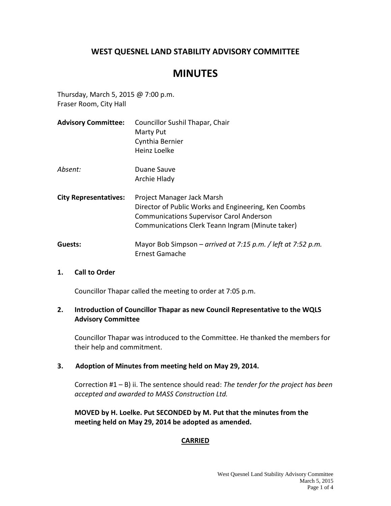# **WEST QUESNEL LAND STABILITY ADVISORY COMMITTEE**

# **MINUTES**

Thursday, March 5, 2015 @ 7:00 p.m. Fraser Room, City Hall

| <b>Advisory Committee:</b>   | <b>Councillor Sushil Thapar, Chair</b><br>Marty Put<br>Cynthia Bernier<br>Heinz Loelke                                                                                                    |
|------------------------------|-------------------------------------------------------------------------------------------------------------------------------------------------------------------------------------------|
| Absent:                      | Duane Sauve<br>Archie Hlady                                                                                                                                                               |
| <b>City Representatives:</b> | Project Manager Jack Marsh<br>Director of Public Works and Engineering, Ken Coombs<br><b>Communications Supervisor Carol Anderson</b><br>Communications Clerk Teann Ingram (Minute taker) |
| Guests:                      | Mayor Bob Simpson – arrived at 7:15 p.m. / left at 7:52 p.m.<br>Ernest Gamache                                                                                                            |

#### **1. Call to Order**

Councillor Thapar called the meeting to order at 7:05 p.m.

#### **2. Introduction of Councillor Thapar as new Council Representative to the WQLS Advisory Committee**

Councillor Thapar was introduced to the Committee. He thanked the members for their help and commitment.

#### **3. Adoption of Minutes from meeting held on May 29, 2014.**

Correction #1 – B) ii. The sentence should read: *The tender for the project has been accepted and awarded to MASS Construction Ltd.*

## **MOVED by H. Loelke. Put SECONDED by M. Put that the minutes from the meeting held on May 29, 2014 be adopted as amended.**

## **CARRIED**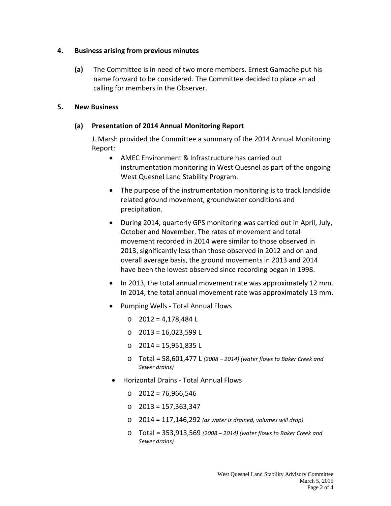#### **4. Business arising from previous minutes**

**(a)** The Committee is in need of two more members. Ernest Gamache put his name forward to be considered. The Committee decided to place an ad calling for members in the Observer.

#### **5. New Business**

#### **(a) Presentation of 2014 Annual Monitoring Report**

J. Marsh provided the Committee a summary of the 2014 Annual Monitoring Report:

- AMEC Environment & Infrastructure has carried out instrumentation monitoring in West Quesnel as part of the ongoing West Quesnel Land Stability Program.
- The purpose of the instrumentation monitoring is to track landslide related ground movement, groundwater conditions and precipitation.
- During 2014, quarterly GPS monitoring was carried out in April, July, October and November. The rates of movement and total movement recorded in 2014 were similar to those observed in 2013, significantly less than those observed in 2012 and on and overall average basis, the ground movements in 2013 and 2014 have been the lowest observed since recording began in 1998.
- In 2013, the total annual movement rate was approximately 12 mm. In 2014, the total annual movement rate was approximately 13 mm.
- Pumping Wells Total Annual Flows
	- $O$  2012 = 4,178,484 L
	- o 2013 = 16,023,599 L
	- o 2014 = 15,951,835 L
	- o Total = 58,601,477 L *(2008 – 2014) (water flows to Baker Creek and Sewer drains)*
- Horizontal Drains Total Annual Flows
	- o 2012 = 76,966,546
	- o 2013 = 157,363,347
	- o 2014 = 117,146,292 *(as water is drained, volumes will drop)*
	- o Total = 353,913,569 *(2008 – 2014) (water flows to Baker Creek and Sewer drains)*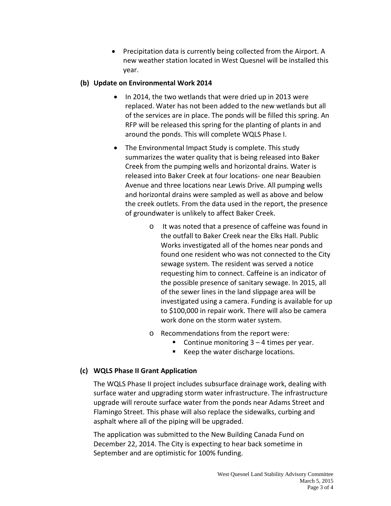• Precipitation data is currently being collected from the Airport. A new weather station located in West Quesnel will be installed this year.

## **(b) Update on Environmental Work 2014**

- In 2014, the two wetlands that were dried up in 2013 were replaced. Water has not been added to the new wetlands but all of the services are in place. The ponds will be filled this spring. An RFP will be released this spring for the planting of plants in and around the ponds. This will complete WQLS Phase I.
- The Environmental Impact Study is complete. This study summarizes the water quality that is being released into Baker Creek from the pumping wells and horizontal drains. Water is released into Baker Creek at four locations- one near Beaubien Avenue and three locations near Lewis Drive. All pumping wells and horizontal drains were sampled as well as above and below the creek outlets. From the data used in the report, the presence of groundwater is unlikely to affect Baker Creek.
	- o It was noted that a presence of caffeine was found in the outfall to Baker Creek near the Elks Hall. Public Works investigated all of the homes near ponds and found one resident who was not connected to the City sewage system. The resident was served a notice requesting him to connect. Caffeine is an indicator of the possible presence of sanitary sewage. In 2015, all of the sewer lines in the land slippage area will be investigated using a camera. Funding is available for up to \$100,000 in repair work. There will also be camera work done on the storm water system.
	- o Recommendations from the report were:
		- Continue monitoring  $3 4$  times per year.
		- Keep the water discharge locations.

# **(c) WQLS Phase II Grant Application**

The WQLS Phase II project includes subsurface drainage work, dealing with surface water and upgrading storm water infrastructure. The infrastructure upgrade will reroute surface water from the ponds near Adams Street and Flamingo Street. This phase will also replace the sidewalks, curbing and asphalt where all of the piping will be upgraded.

The application was submitted to the New Building Canada Fund on December 22, 2014. The City is expecting to hear back sometime in September and are optimistic for 100% funding.